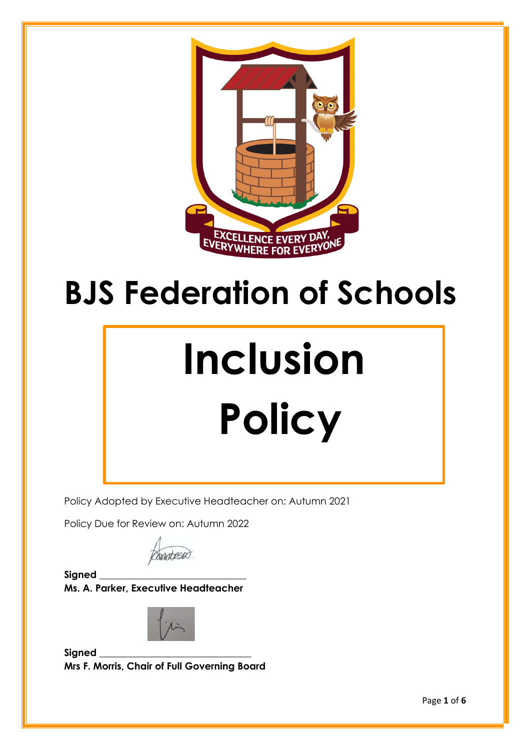

# **BJS Federation of Schools**

# **Inclusion Policy**

Policy Adopted by Executive Headteacher on: Autumn 2021

Policy Due for Review on: Autumn 2022

Annobead

**Signed \_\_\_\_\_\_\_\_\_\_\_\_\_\_\_\_\_\_\_\_\_\_\_\_\_\_\_\_\_\_ Ms. A. Parker, Executive Headteacher**



**Signed \_\_\_\_\_\_\_\_\_\_\_\_\_\_\_\_\_\_\_\_\_\_\_\_\_\_\_\_\_\_\_ Mrs F. Morris, Chair of Full Governing Board**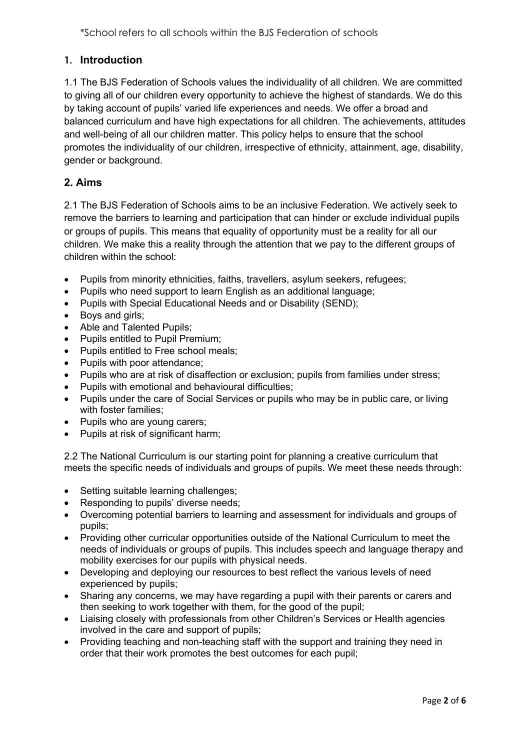# **1. Introduction**

1.1 The BJS Federation of Schools values the individuality of all children. We are committed to giving all of our children every opportunity to achieve the highest of standards. We do this by taking account of pupils' varied life experiences and needs. We offer a broad and balanced curriculum and have high expectations for all children. The achievements, attitudes and well-being of all our children matter. This policy helps to ensure that the school promotes the individuality of our children, irrespective of ethnicity, attainment, age, disability, gender or background.

# **2. Aims**

2.1 The BJS Federation of Schools aims to be an inclusive Federation. We actively seek to remove the barriers to learning and participation that can hinder or exclude individual pupils or groups of pupils. This means that equality of opportunity must be a reality for all our children. We make this a reality through the attention that we pay to the different groups of children within the school:

- Pupils from minority ethnicities, faiths, travellers, asylum seekers, refugees;
- Pupils who need support to learn English as an additional language;
- Pupils with Special Educational Needs and or Disability (SEND);
- Boys and girls:
- Able and Talented Pupils;
- Pupils entitled to Pupil Premium;
- Pupils entitled to Free school meals;
- Pupils with poor attendance;
- Pupils who are at risk of disaffection or exclusion; pupils from families under stress;
- Pupils with emotional and behavioural difficulties;
- Pupils under the care of Social Services or pupils who may be in public care, or living with foster families;
- Pupils who are young carers;
- Pupils at risk of significant harm;

2.2 The National Curriculum is our starting point for planning a creative curriculum that meets the specific needs of individuals and groups of pupils. We meet these needs through:

- Setting suitable learning challenges;
- Responding to pupils' diverse needs;
- Overcoming potential barriers to learning and assessment for individuals and groups of pupils;
- Providing other curricular opportunities outside of the National Curriculum to meet the needs of individuals or groups of pupils. This includes speech and language therapy and mobility exercises for our pupils with physical needs.
- Developing and deploying our resources to best reflect the various levels of need experienced by pupils;
- Sharing any concerns, we may have regarding a pupil with their parents or carers and then seeking to work together with them, for the good of the pupil;
- Liaising closely with professionals from other Children's Services or Health agencies involved in the care and support of pupils;
- Providing teaching and non-teaching staff with the support and training they need in order that their work promotes the best outcomes for each pupil;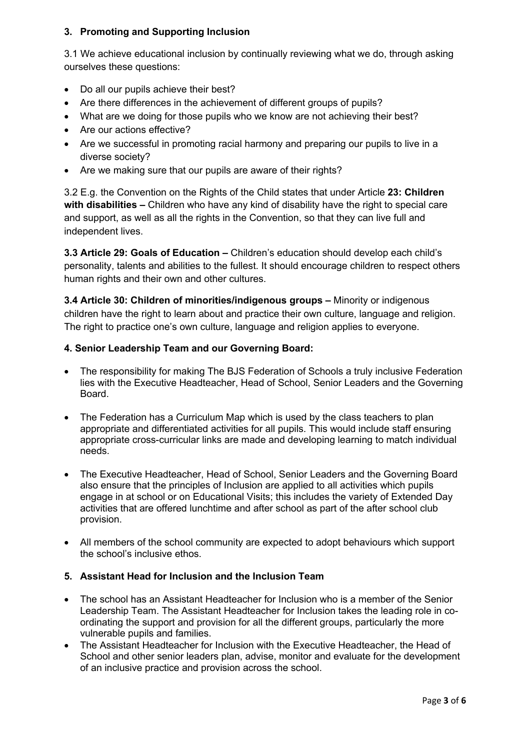# **3. Promoting and Supporting Inclusion**

3.1 We achieve educational inclusion by continually reviewing what we do, through asking ourselves these questions:

- Do all our pupils achieve their best?
- Are there differences in the achievement of different groups of pupils?
- What are we doing for those pupils who we know are not achieving their best?
- Are our actions effective?
- Are we successful in promoting racial harmony and preparing our pupils to live in a diverse society?
- Are we making sure that our pupils are aware of their rights?

3.2 E.g. the Convention on the Rights of the Child states that under Article **23: Children with disabilities –** Children who have any kind of disability have the right to special care and support, as well as all the rights in the Convention, so that they can live full and independent lives.

**3.3 Article 29: Goals of Education –** Children's education should develop each child's personality, talents and abilities to the fullest. It should encourage children to respect others human rights and their own and other cultures.

**3.4 Article 30: Children of minorities/indigenous groups –** Minority or indigenous children have the right to learn about and practice their own culture, language and religion. The right to practice one's own culture, language and religion applies to everyone.

## **4. Senior Leadership Team and our Governing Board:**

- The responsibility for making The BJS Federation of Schools a truly inclusive Federation lies with the Executive Headteacher, Head of School, Senior Leaders and the Governing Board.
- The Federation has a Curriculum Map which is used by the class teachers to plan appropriate and differentiated activities for all pupils. This would include staff ensuring appropriate cross-curricular links are made and developing learning to match individual needs.
- The Executive Headteacher, Head of School, Senior Leaders and the Governing Board also ensure that the principles of Inclusion are applied to all activities which pupils engage in at school or on Educational Visits; this includes the variety of Extended Day activities that are offered lunchtime and after school as part of the after school club provision.
- All members of the school community are expected to adopt behaviours which support the school's inclusive ethos.

## **5. Assistant Head for Inclusion and the Inclusion Team**

- The school has an Assistant Headteacher for Inclusion who is a member of the Senior Leadership Team. The Assistant Headteacher for Inclusion takes the leading role in coordinating the support and provision for all the different groups, particularly the more vulnerable pupils and families.
- The Assistant Headteacher for Inclusion with the Executive Headteacher, the Head of School and other senior leaders plan, advise, monitor and evaluate for the development of an inclusive practice and provision across the school.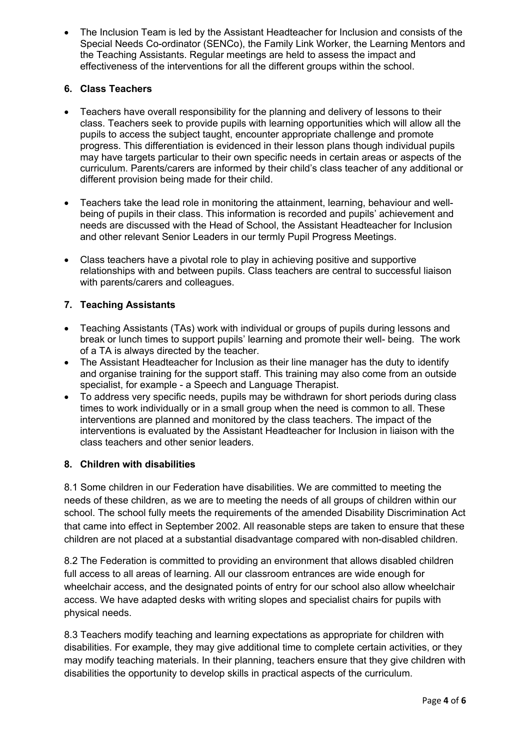• The Inclusion Team is led by the Assistant Headteacher for Inclusion and consists of the Special Needs Co-ordinator (SENCo), the Family Link Worker, the Learning Mentors and the Teaching Assistants. Regular meetings are held to assess the impact and effectiveness of the interventions for all the different groups within the school.

# **6. Class Teachers**

- Teachers have overall responsibility for the planning and delivery of lessons to their class. Teachers seek to provide pupils with learning opportunities which will allow all the pupils to access the subject taught, encounter appropriate challenge and promote progress. This differentiation is evidenced in their lesson plans though individual pupils may have targets particular to their own specific needs in certain areas or aspects of the curriculum. Parents/carers are informed by their child's class teacher of any additional or different provision being made for their child.
- Teachers take the lead role in monitoring the attainment, learning, behaviour and wellbeing of pupils in their class. This information is recorded and pupils' achievement and needs are discussed with the Head of School, the Assistant Headteacher for Inclusion and other relevant Senior Leaders in our termly Pupil Progress Meetings.
- Class teachers have a pivotal role to play in achieving positive and supportive relationships with and between pupils. Class teachers are central to successful liaison with parents/carers and colleagues.

# **7. Teaching Assistants**

- Teaching Assistants (TAs) work with individual or groups of pupils during lessons and break or lunch times to support pupils' learning and promote their well- being. The work of a TA is always directed by the teacher.
- The Assistant Headteacher for Inclusion as their line manager has the duty to identify and organise training for the support staff. This training may also come from an outside specialist, for example - a Speech and Language Therapist.
- To address very specific needs, pupils may be withdrawn for short periods during class times to work individually or in a small group when the need is common to all. These interventions are planned and monitored by the class teachers. The impact of the interventions is evaluated by the Assistant Headteacher for Inclusion in liaison with the class teachers and other senior leaders.

## **8. Children with disabilities**

8.1 Some children in our Federation have disabilities. We are committed to meeting the needs of these children, as we are to meeting the needs of all groups of children within our school. The school fully meets the requirements of the amended Disability Discrimination Act that came into effect in September 2002. All reasonable steps are taken to ensure that these children are not placed at a substantial disadvantage compared with non-disabled children.

8.2 The Federation is committed to providing an environment that allows disabled children full access to all areas of learning. All our classroom entrances are wide enough for wheelchair access, and the designated points of entry for our school also allow wheelchair access. We have adapted desks with writing slopes and specialist chairs for pupils with physical needs.

8.3 Teachers modify teaching and learning expectations as appropriate for children with disabilities. For example, they may give additional time to complete certain activities, or they may modify teaching materials. In their planning, teachers ensure that they give children with disabilities the opportunity to develop skills in practical aspects of the curriculum.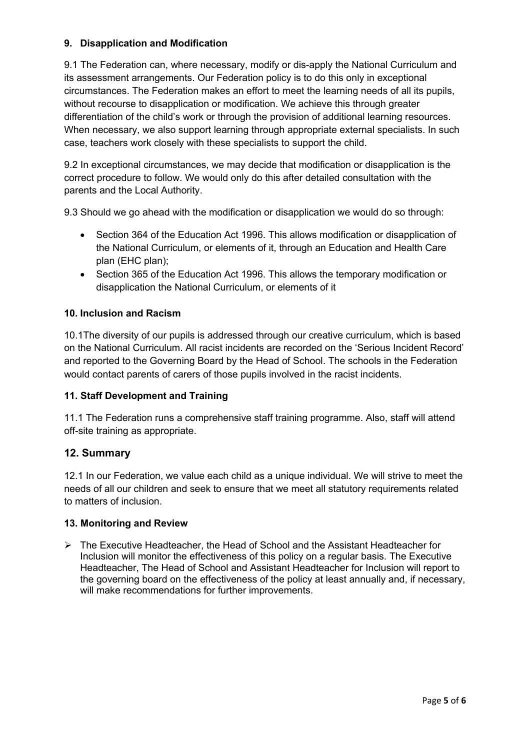# **9. Disapplication and Modification**

9.1 The Federation can, where necessary, modify or dis-apply the National Curriculum and its assessment arrangements. Our Federation policy is to do this only in exceptional circumstances. The Federation makes an effort to meet the learning needs of all its pupils, without recourse to disapplication or modification. We achieve this through greater differentiation of the child's work or through the provision of additional learning resources. When necessary, we also support learning through appropriate external specialists. In such case, teachers work closely with these specialists to support the child.

9.2 In exceptional circumstances, we may decide that modification or disapplication is the correct procedure to follow. We would only do this after detailed consultation with the parents and the Local Authority.

9.3 Should we go ahead with the modification or disapplication we would do so through:

- Section 364 of the Education Act 1996. This allows modification or disapplication of the National Curriculum, or elements of it, through an Education and Health Care plan (EHC plan);
- Section 365 of the Education Act 1996. This allows the temporary modification or disapplication the National Curriculum, or elements of it

## **10. Inclusion and Racism**

10.1The diversity of our pupils is addressed through our creative curriculum, which is based on the National Curriculum. All racist incidents are recorded on the 'Serious Incident Record' and reported to the Governing Board by the Head of School. The schools in the Federation would contact parents of carers of those pupils involved in the racist incidents.

## **11. Staff Development and Training**

11.1 The Federation runs a comprehensive staff training programme. Also, staff will attend off-site training as appropriate.

## **12. Summary**

12.1 In our Federation, we value each child as a unique individual. We will strive to meet the needs of all our children and seek to ensure that we meet all statutory requirements related to matters of inclusion.

## **13. Monitoring and Review**

 $\triangleright$  The Executive Headteacher, the Head of School and the Assistant Headteacher for Inclusion will monitor the effectiveness of this policy on a regular basis. The Executive Headteacher, The Head of School and Assistant Headteacher for Inclusion will report to the governing board on the effectiveness of the policy at least annually and, if necessary, will make recommendations for further improvements.